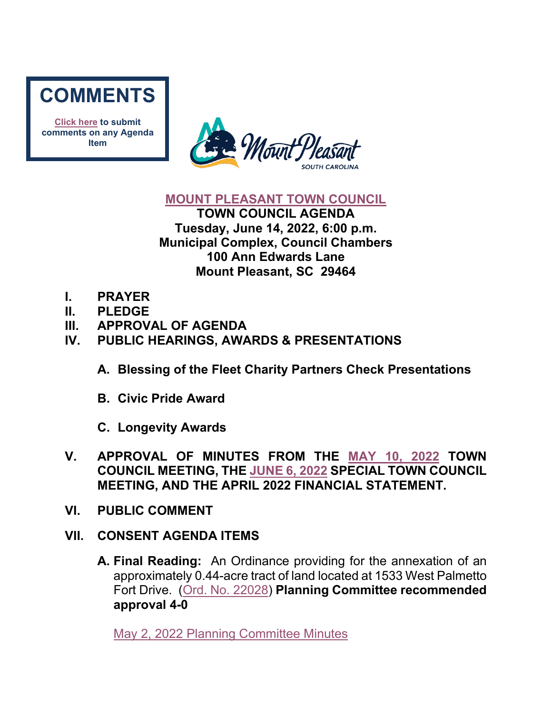

**[Click here](mailto:councilclk@tompsc.com) to submit comments on any Agenda Item**



#### **[MOUNT PLEASANT TOWN COUNCIL](http://www.tompsc.com/index.aspx?NID=91)**

**TOWN COUNCIL AGENDA Tuesday, June 14, 2022, 6:00 p.m. Municipal Complex, Council Chambers 100 Ann Edwards Lane Mount Pleasant, SC 29464**

- **I. PRAYER**
- **II. PLEDGE**
- **III. APPROVAL OF AGENDA**
- **IV. PUBLIC HEARINGS, AWARDS & PRESENTATIONS**
	- **A. Blessing of the Fleet Charity Partners Check Presentations**
	- **B. Civic Pride Award**
	- **C. Longevity Awards**
- **V. APPROVAL OF MINUTES FROM THE [MAY 10, 2022](https://www.tompsc.com/AgendaCenter/ViewFile/Minutes/_05102022-1215) TOWN COUNCIL MEETING, THE [JUNE 6, 2022](https://www.tompsc.com/AgendaCenter/ViewFile/Minutes/_06062022-1229) SPECIAL TOWN COUNCIL MEETING, AND THE APRIL 2022 FINANCIAL STATEMENT.**
- **VI. PUBLIC COMMENT**
- **VII. CONSENT AGENDA ITEMS**
	- **A. Final Reading:** An Ordinance providing for the annexation of an approximately 0.44-acre tract of land located at 1533 West Palmetto Fort Drive. [\(Ord. No. 22028\)](https://www.tompsc.com/DocumentCenter/View/41663/Ord-No-22028) **Planning Committee recommended approval 4-0**

[May 2, 2022 Planning Committee Minutes](https://www.tompsc.com/AgendaCenter/ViewFile/Minutes/_05022022-1210)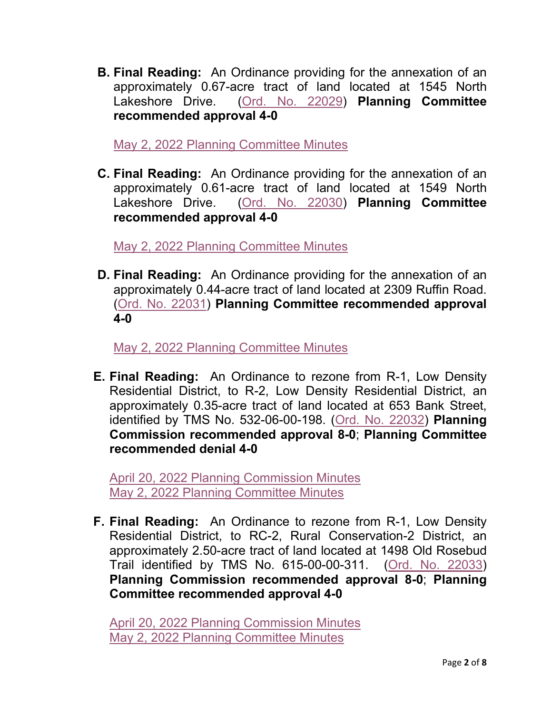**B. Final Reading:** An Ordinance providing for the annexation of an approximately 0.67-acre tract of land located at 1545 North Lakeshore Drive. [\(Ord. No. 22029\)](https://www.tompsc.com/DocumentCenter/View/41653/Ord-No-22029) **Planning Committee recommended approval 4-0** 

[May 2, 2022 Planning Committee Minutes](https://www.tompsc.com/AgendaCenter/ViewFile/Minutes/_05022022-1210)

**C. Final Reading:** An Ordinance providing for the annexation of an approximately 0.61-acre tract of land located at 1549 North Lakeshore Drive. [\(Ord. No. 22030\)](https://www.tompsc.com/DocumentCenter/View/41654/Ord-No-22030) **Planning Committee recommended approval 4-0** 

[May 2, 2022 Planning Committee Minutes](https://www.tompsc.com/AgendaCenter/ViewFile/Minutes/_05022022-1210)

**D. Final Reading:** An Ordinance providing for the annexation of an approximately 0.44-acre tract of land located at 2309 Ruffin Road. [\(Ord. No. 22031\)](https://www.tompsc.com/DocumentCenter/View/41655/Ord-No-22031) **Planning Committee recommended approval 4-0** 

[May 2, 2022 Planning Committee Minutes](https://www.tompsc.com/AgendaCenter/ViewFile/Minutes/_05022022-1210)

**E. Final Reading:** An Ordinance to rezone from R-1, Low Density Residential District, to R-2, Low Density Residential District, an approximately 0.35-acre tract of land located at 653 Bank Street, identified by TMS No. 532-06-00-198. [\(Ord. No. 22032\)](https://www.tompsc.com/DocumentCenter/View/41656/Ord-No-22032) **Planning Commission recommended approval 8-0**; **Planning Committee recommended denial 4-0** 

[April 20, 2022 Planning Commission Minutes](https://www.tompsc.com/AgendaCenter/ViewFile/Minutes/_04202022-1188) [May 2, 2022 Planning Committee Minutes](https://www.tompsc.com/AgendaCenter/ViewFile/Minutes/_05022022-1210)

**F. Final Reading:** An Ordinance to rezone from R-1, Low Density Residential District, to RC-2, Rural Conservation-2 District, an approximately 2.50-acre tract of land located at 1498 Old Rosebud Trail identified by TMS No. 615-00-00-311. [\(Ord. No. 22033\)](https://www.tompsc.com/DocumentCenter/View/41657/Ord-No-22033) **Planning Commission recommended approval 8-0**; **Planning Committee recommended approval 4-0** 

[April 20, 2022 Planning Commission Minutes](https://www.tompsc.com/AgendaCenter/ViewFile/Minutes/_04202022-1188) [May 2, 2022 Planning Committee Minutes](https://www.tompsc.com/AgendaCenter/ViewFile/Minutes/_05022022-1210)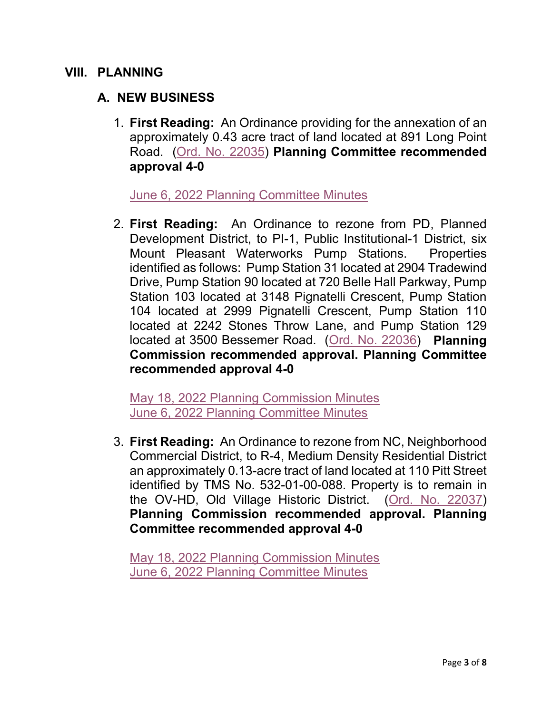#### **VIII. PLANNING**

### **A. NEW BUSINESS**

1. **First Reading:** An Ordinance providing for the annexation of an approximately 0.43 acre tract of land located at 891 Long Point Road. [\(Ord. No. 22035\)](https://www.tompsc.com/DocumentCenter/View/41965/Ord-No-22035) **Planning Committee recommended approval 4-0** 

[June 6, 2022 Planning Committee Minutes](https://www.tompsc.com/AgendaCenter/ViewFile/Minutes/_06062022-1231)

2. **First Reading:** An Ordinance to rezone from PD, Planned Development District, to PI-1, Public Institutional-1 District, six Mount Pleasant Waterworks Pump Stations. Properties identified as follows: Pump Station 31 located at 2904 Tradewind Drive, Pump Station 90 located at 720 Belle Hall Parkway, Pump Station 103 located at 3148 Pignatelli Crescent, Pump Station 104 located at 2999 Pignatelli Crescent, Pump Station 110 located at 2242 Stones Throw Lane, and Pump Station 129 located at 3500 Bessemer Road. [\(Ord. No. 22036\)](https://www.tompsc.com/DocumentCenter/View/41971/Ord-No-22036) **Planning Commission recommended approval. Planning Committee recommended approval 4-0**

[May 18, 2022 Planning Commission Minutes](https://www.tompsc.com/AgendaCenter/ViewFile/Minutes/_05182022-1214) [June 6, 2022 Planning Committee Minutes](https://www.tompsc.com/AgendaCenter/ViewFile/Minutes/_06062022-1231)

3. **First Reading:** An Ordinance to rezone from NC, Neighborhood Commercial District, to R-4, Medium Density Residential District an approximately 0.13-acre tract of land located at 110 Pitt Street identified by TMS No. 532-01-00-088. Property is to remain in the OV-HD, Old Village Historic District. [\(Ord. No. 22037\)](https://www.tompsc.com/DocumentCenter/View/41967/Ord-No-22037) **Planning Commission recommended approval. Planning Committee recommended approval 4-0**

[May 18, 2022 Planning Commission Minutes](https://www.tompsc.com/AgendaCenter/ViewFile/Minutes/_05182022-1214) [June 6, 2022 Planning Committee Minutes](https://www.tompsc.com/AgendaCenter/ViewFile/Minutes/_06062022-1231)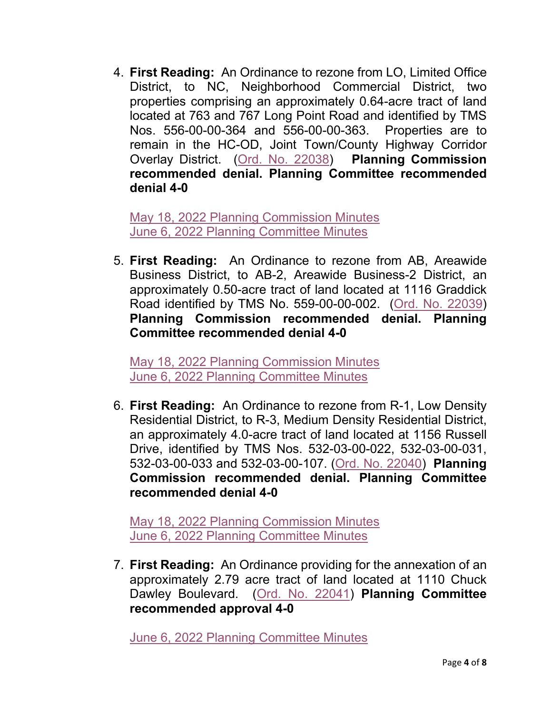4. **First Reading:** An Ordinance to rezone from LO, Limited Office District, to NC, Neighborhood Commercial District, two properties comprising an approximately 0.64-acre tract of land located at 763 and 767 Long Point Road and identified by TMS Nos. 556-00-00-364 and 556-00-00-363. Properties are to remain in the HC-OD, Joint Town/County Highway Corridor Overlay District. [\(Ord. No. 22038\)](https://www.tompsc.com/DocumentCenter/View/41960/Ord-No-22038) **Planning Commission recommended denial. Planning Committee recommended denial 4-0**

[May 18, 2022 Planning Commission Minutes](https://www.tompsc.com/AgendaCenter/ViewFile/Minutes/_05182022-1214) [June 6, 2022 Planning Committee Minutes](https://www.tompsc.com/AgendaCenter/ViewFile/Minutes/_06062022-1231)

5. **First Reading:** An Ordinance to rezone from AB, Areawide Business District, to AB-2, Areawide Business-2 District, an approximately 0.50-acre tract of land located at 1116 Graddick Road identified by TMS No. 559-00-00-002. [\(Ord. No. 22039\)](https://www.tompsc.com/DocumentCenter/View/41961/Ord-No-22039) **Planning Commission recommended denial. Planning Committee recommended denial 4-0**

[May 18, 2022 Planning Commission Minutes](https://www.tompsc.com/AgendaCenter/ViewFile/Minutes/_05182022-1214) [June 6, 2022 Planning Committee Minutes](https://www.tompsc.com/AgendaCenter/ViewFile/Minutes/_06062022-1231)

6. **First Reading:** An Ordinance to rezone from R-1, Low Density Residential District, to R-3, Medium Density Residential District, an approximately 4.0-acre tract of land located at 1156 Russell Drive, identified by TMS Nos. 532-03-00-022, 532-03-00-031, 532-03-00-033 and 532-03-00-107. [\(Ord. No. 22040\)](https://www.tompsc.com/DocumentCenter/View/41962/Ord-No-22040) **Planning Commission recommended denial. Planning Committee recommended denial 4-0**

[May 18, 2022 Planning Commission Minutes](https://www.tompsc.com/AgendaCenter/ViewFile/Minutes/_05182022-1214) [June 6, 2022 Planning Committee Minutes](https://www.tompsc.com/AgendaCenter/ViewFile/Minutes/_06062022-1231)

7. **First Reading:** An Ordinance providing for the annexation of an approximately 2.79 acre tract of land located at 1110 Chuck Dawley Boulevard. [\(Ord. No. 22041\)](https://www.tompsc.com/DocumentCenter/View/41963/Ord-No-22041) **Planning Committee recommended approval 4-0** 

[June 6, 2022 Planning Committee Minutes](https://www.tompsc.com/AgendaCenter/ViewFile/Minutes/_06062022-1231)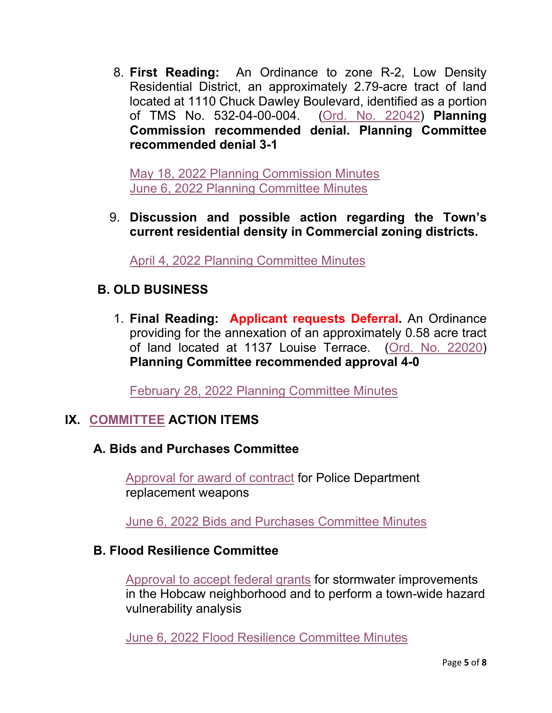8. **First Reading:** An Ordinance to zone R-2, Low Density Residential District, an approximately 2.79-acre tract of land located at 1110 Chuck Dawley Boulevard, identified as a portion of TMS No. 532-04-00-004. [\(Ord. No. 22042\)](https://www.tompsc.com/DocumentCenter/View/41964/Ord-No-22042) **Planning Commission recommended denial. Planning Committee recommended denial 3-1** 

[May 18, 2022 Planning Commission Minutes](https://www.tompsc.com/AgendaCenter/ViewFile/Minutes/_05182022-1214) [June 6, 2022 Planning Committee Minutes](https://www.tompsc.com/AgendaCenter/ViewFile/Minutes/_06062022-1231)

9. **Discussion and possible action regarding the Town's current residential density in Commercial zoning districts.**

[April 4, 2022 Planning Committee Minutes](https://www.tompsc.com/AgendaCenter/ViewFile/Minutes/_04042022-1187)

## **B. OLD BUSINESS**

1. **Final Reading: Applicant requests Deferral.** An Ordinance providing for the annexation of an approximately 0.58 acre tract of land located at 1137 Louise Terrace. [\(Ord. No. 22020\)](https://www.tompsc.com/DocumentCenter/View/40831/Ord-No-22020) **Planning Committee recommended approval 4-0**

[February 28, 2022 Planning Committee Minutes](https://gcc02.safelinks.protection.outlook.com/?url=https%3A%2F%2Fwww.tompsc.com%2FAgendaCenter%2FViewFile%2FMinutes%2F_02282022-1162&data=04%7C01%7CCBarrett%40tompsc.com%7C5d4ae3f93072458c6ed708d9fd5a24e4%7C1625c41990b6460eafc73f4628c3f25d%7C0%7C0%7C637819385875051425%7CUnknown%7CTWFpbGZsb3d8eyJWIjoiMC4wLjAwMDAiLCJQIjoiV2luMzIiLCJBTiI6Ik1haWwiLCJXVCI6Mn0%3D%7C3000&sdata=axfyqsRvs5plDOrftfRaKYo0lN5W15YxnnDFpN6pg%2F8%3D&reserved=0)

# **IX. [COMMITTEE](https://www.tompsc.com/agendacenter) ACTION ITEMS**

## **A. Bids and Purchases Committee**

[Approval for award of contract](https://www.tompsc.com/DocumentCenter/View/41956/Report-06-06-2022-BP-Committee) for Police Department replacement weapons

June [6, 2022 Bids and Purchases Committee Minutes](https://www.tompsc.com/AgendaCenter/ViewFile/Minutes/_06062022-1224)

### **B. Flood Resilience Committee**

Approval [to accept federal grants](https://www.tompsc.com/DocumentCenter/View/41953/FLOOD-RESILIENCY-report-060622) for stormwater improvements in the Hobcaw neighborhood and to perform a town-wide hazard vulnerability analysis

[June 6, 2022 Flood Resilience Committee Minutes](https://www.tompsc.com/AgendaCenter/ViewFile/Minutes/_06062022-1230)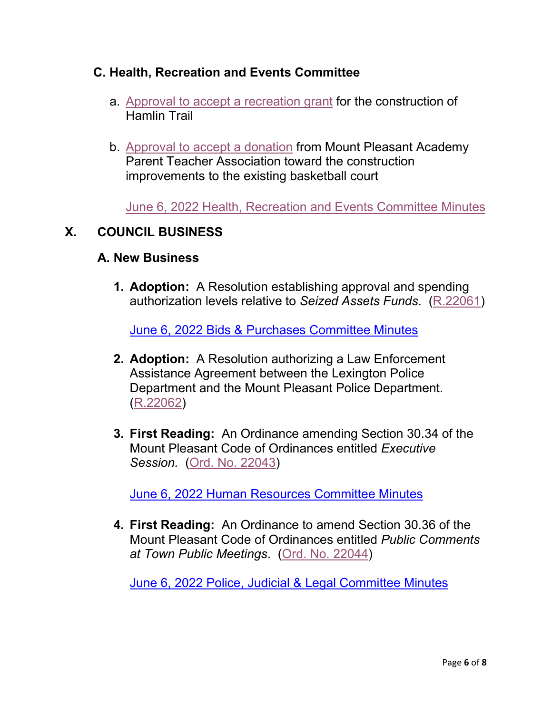### **C. Health, Recreation and Events Committee**

- a. Approval [to accept a recreation grant](https://www.tompsc.com/DocumentCenter/View/41959/JUNE-6-2022-HEALTH-RECREATION--EVENTS-COMMITTEE-ACTION-ITEMS) for the construction of Hamlin Trail
- b. [Approval to accept a donation](https://www.tompsc.com/DocumentCenter/View/41959/JUNE-6-2022-HEALTH-RECREATION--EVENTS-COMMITTEE-ACTION-ITEMS) from Mount Pleasant Academy Parent Teacher Association toward the construction improvements to the existing basketball court

[June 6, 2022 Health, Recreation and Events Committee Minutes](https://www.tompsc.com/AgendaCenter/ViewFile/Minutes/_06062022-1226)

#### **X. COUNCIL BUSINESS**

#### **A. New Business**

**1. Adoption:** A Resolution establishing approval and spending authorization levels relative to *Seized Assets Funds*. [\(R.22061\)](https://www.tompsc.com/DocumentCenter/View/41968/Resolution-No-R22061)

[June 6, 2022 Bids & Purchases Committee Minutes](https://www.tompsc.com/AgendaCenter/ViewFile/Minutes/_06062022-1224)

- **2. Adoption:** A Resolution authorizing a Law Enforcement Assistance Agreement between the Lexington Police Department and the Mount Pleasant Police Department. [\(R.22062\)](https://www.tompsc.com/DocumentCenter/View/41969/Resolution-No-R22062)
- **3. First Reading:** An Ordinance amending Section 30.34 of the Mount Pleasant Code of Ordinances entitled *Executive Session.* [\(Ord. No. 22043\)](https://www.tompsc.com/DocumentCenter/View/41974/Ord-No-22043)

[June 6, 2022 Human Resources Committee Minutes](https://www.tompsc.com/AgendaCenter/ViewFile/Minutes/_06062022-1227)

**4. First Reading:** An Ordinance to amend Section 30.36 of the Mount Pleasant Code of Ordinances entitled *Public Comments at Town Public Meetings*. [\(Ord. No. 22044\)](https://www.tompsc.com/DocumentCenter/View/41975/Ord-No-22044)

[June 6, 2022 Police, Judicial & Legal Committee Minutes](https://www.tompsc.com/AgendaCenter/ViewFile/Minutes/_06062022-1228)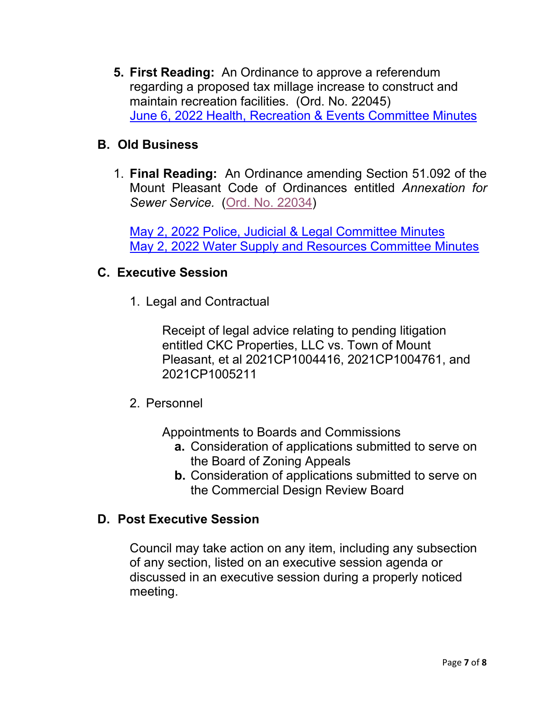**5. First Reading:** An Ordinance to approve a referendum regarding a proposed tax millage increase to construct and maintain recreation facilities. (Ord. No. 22045) [June 6, 2022 Health, Recreation & Events Committee Minutes](https://www.tompsc.com/AgendaCenter/ViewFile/Minutes/_06062022-1226)

## **B. Old Business**

1. **Final Reading:** An Ordinance amending Section 51.092 of the Mount Pleasant Code of Ordinances entitled *Annexation for Sewer Service.* [\(Ord. No. 22034\)](https://www.tompsc.com/DocumentCenter/View/41955/Ord-No-22034)

[May 2, 2022 Police, Judicial & Legal Committee Minutes](https://www.tompsc.com/AgendaCenter/ViewFile/Minutes/_05022022-1206) [May 2, 2022 Water Supply and Resources Committee Minutes](https://www.tompsc.com/AgendaCenter/ViewFile/Minutes/_05022022-1208)

### **C. Executive Session**

1. Legal and Contractual

Receipt of legal advice relating to pending litigation entitled CKC Properties, LLC vs. Town of Mount Pleasant, et al 2021CP1004416, 2021CP1004761, and 2021CP1005211

2. Personnel

Appointments to Boards and Commissions

- **a.** Consideration of applications submitted to serve on the Board of Zoning Appeals
- **b.** Consideration of applications submitted to serve on the Commercial Design Review Board

## **D. Post Executive Session**

Council may take action on any item, including any subsection of any section, listed on an executive session agenda or discussed in an executive session during a properly noticed meeting.